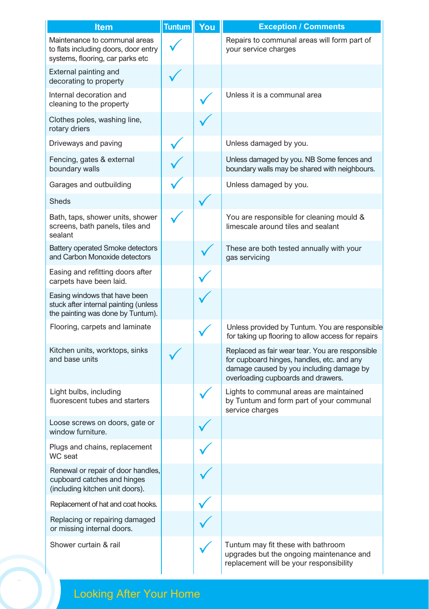| <b>Item</b>                                                                                                 | <b>Tuntum</b> | You | <b>Exception / Comments</b>                                                                                                                                                     |
|-------------------------------------------------------------------------------------------------------------|---------------|-----|---------------------------------------------------------------------------------------------------------------------------------------------------------------------------------|
| Maintenance to communal areas<br>to flats including doors, door entry<br>systems, flooring, car parks etc   |               |     | Repairs to communal areas will form part of<br>your service charges                                                                                                             |
| External painting and<br>decorating to property                                                             |               |     |                                                                                                                                                                                 |
| Internal decoration and<br>cleaning to the property                                                         |               |     | Unless it is a communal area                                                                                                                                                    |
| Clothes poles, washing line,<br>rotary driers                                                               |               |     |                                                                                                                                                                                 |
| Driveways and paving                                                                                        |               |     | Unless damaged by you.                                                                                                                                                          |
| Fencing, gates & external<br>boundary walls                                                                 |               |     | Unless damaged by you. NB Some fences and<br>boundary walls may be shared with neighbours.                                                                                      |
| Garages and outbuilding                                                                                     |               |     | Unless damaged by you.                                                                                                                                                          |
| <b>Sheds</b>                                                                                                |               |     |                                                                                                                                                                                 |
| Bath, taps, shower units, shower<br>screens, bath panels, tiles and<br>sealant                              |               |     | You are responsible for cleaning mould &<br>limescale around tiles and sealant                                                                                                  |
| <b>Battery operated Smoke detectors</b><br>and Carbon Monoxide detectors                                    |               |     | These are both tested annually with your<br>gas servicing                                                                                                                       |
| Easing and refitting doors after<br>carpets have been laid.                                                 |               |     |                                                                                                                                                                                 |
| Easing windows that have been<br>stuck after internal painting (unless<br>the painting was done by Tuntum). |               |     |                                                                                                                                                                                 |
| Flooring, carpets and laminate                                                                              |               |     | Unless provided by Tuntum. You are responsible<br>for taking up flooring to allow access for repairs                                                                            |
| Kitchen units, worktops, sinks<br>and base units                                                            |               |     | Replaced as fair wear tear. You are responsible<br>for cupboard hinges, handles, etc. and any<br>damage caused by you including damage by<br>overloading cupboards and drawers. |
| Light bulbs, including<br>fluorescent tubes and starters                                                    |               |     | Lights to communal areas are maintained<br>by Tuntum and form part of your communal<br>service charges                                                                          |
| Loose screws on doors, gate or<br>window furniture.                                                         |               |     |                                                                                                                                                                                 |
| Plugs and chains, replacement<br>WC seat                                                                    |               |     |                                                                                                                                                                                 |
| Renewal or repair of door handles,<br>cupboard catches and hinges<br>(including kitchen unit doors).        |               |     |                                                                                                                                                                                 |
| Replacement of hat and coat hooks.                                                                          |               |     |                                                                                                                                                                                 |
| Replacing or repairing damaged<br>or missing internal doors.                                                |               |     |                                                                                                                                                                                 |
| Shower curtain & rail                                                                                       |               |     | Tuntum may fit these with bathroom<br>upgrades but the ongoing maintenance and<br>replacement will be your responsibility                                                       |

## **<sup>10</sup>** Looking After Your Home